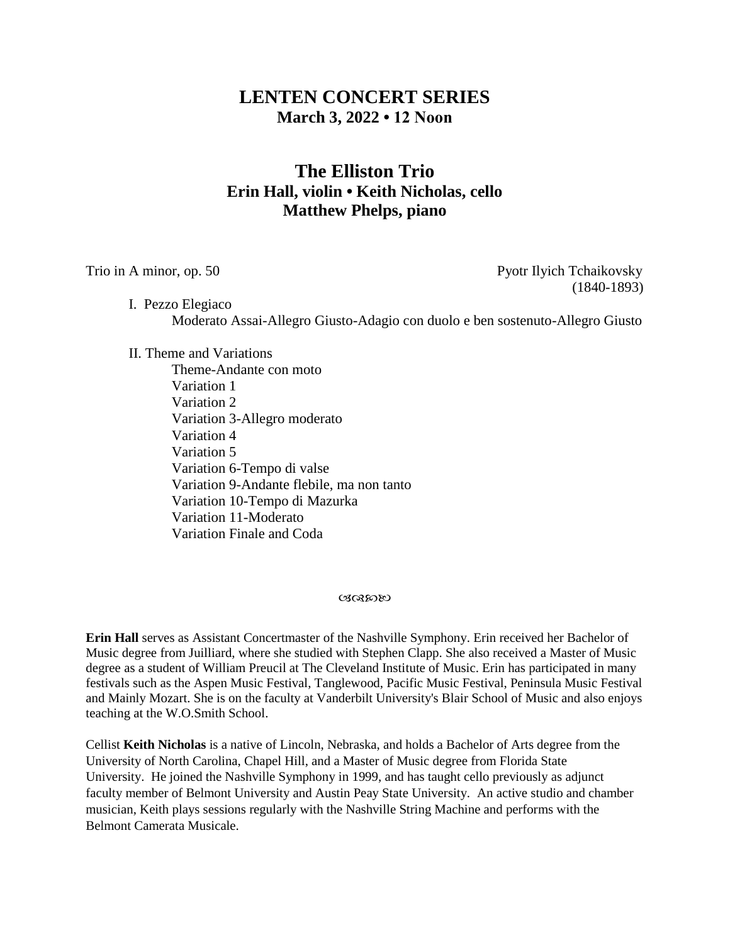## **LENTEN CONCERT SERIES March 3, 2022 • 12 Noon**

# **The Elliston Trio Erin Hall, violin • Keith Nicholas, cello Matthew Phelps, piano**

Trio in A minor, op. 50 Pyotr Ilyich Tchaikovsky (1840-1893)

I. Pezzo Elegiaco Moderato Assai-Allegro Giusto-Adagio con duolo e ben sostenuto-Allegro Giusto

II. Theme and Variations

Theme-Andante con moto Variation 1 Variation 2 Variation 3-Allegro moderato Variation 4 Variation 5 Variation 6-Tempo di valse Variation 9-Andante flebile, ma non tanto Variation 10-Tempo di Mazurka Variation 11-Moderato Variation Finale and Coda

#### ぴぽめめ

**Erin Hall** serves as Assistant Concertmaster of the Nashville Symphony. Erin received her Bachelor of Music degree from Juilliard, where she studied with Stephen Clapp. She also received a Master of Music degree as a student of William Preucil at The Cleveland Institute of Music. Erin has participated in many festivals such as the Aspen Music Festival, Tanglewood, Pacific Music Festival, Peninsula Music Festival and Mainly Mozart. She is on the faculty at Vanderbilt University's Blair School of Music and also enjoys teaching at the W.O.Smith School.

Cellist **Keith Nicholas** is a native of Lincoln, Nebraska, and holds a Bachelor of Arts degree from the University of North Carolina, Chapel Hill, and a Master of Music degree from Florida State University. He joined the Nashville Symphony in 1999, and has taught cello previously as adjunct faculty member of Belmont University and Austin Peay State University. An active studio and chamber musician, Keith plays sessions regularly with the Nashville String Machine and performs with the Belmont Camerata Musicale.